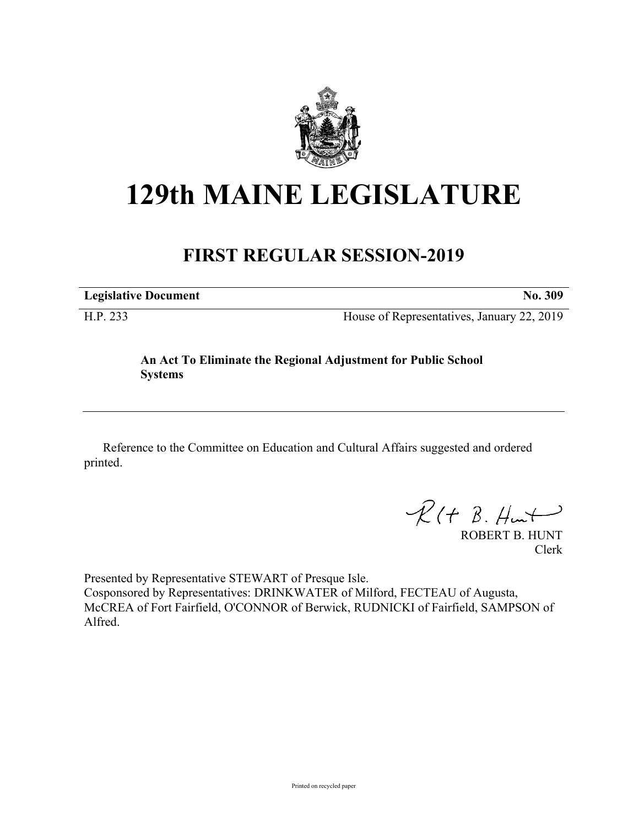

## **129th MAINE LEGISLATURE**

## **FIRST REGULAR SESSION-2019**

**Legislative Document No. 309**

H.P. 233 House of Representatives, January 22, 2019

## **An Act To Eliminate the Regional Adjustment for Public School Systems**

Reference to the Committee on Education and Cultural Affairs suggested and ordered printed.

 $R(H B. H<sub>un</sub>+)$ 

ROBERT B. HUNT Clerk

Presented by Representative STEWART of Presque Isle. Cosponsored by Representatives: DRINKWATER of Milford, FECTEAU of Augusta, McCREA of Fort Fairfield, O'CONNOR of Berwick, RUDNICKI of Fairfield, SAMPSON of Alfred.